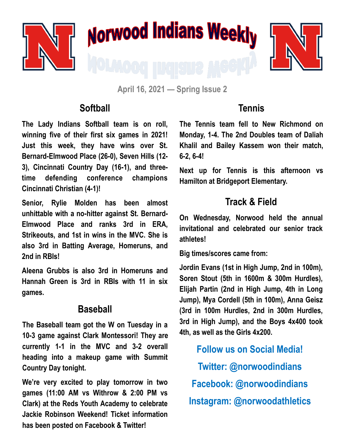





**April 16, 2021 — Spring Issue 2**

#### **Softball**

**The Lady Indians Softball team is on roll, winning five of their first six games in 2021! Just this week, they have wins over St. Bernard-Elmwood Place (26-0), Seven Hills (12- 3), Cincinnati Country Day (16-1), and threetime defending conference champions Cincinnati Christian (4-1)!**

**Senior, Rylie Molden has been almost unhittable with a no-hitter against St. Bernard-Elmwood Place and ranks 3rd in ERA, Strikeouts, and 1st in wins in the MVC. She is also 3rd in Batting Average, Homeruns, and 2nd in RBIs!**

**Aleena Grubbs is also 3rd in Homeruns and Hannah Green is 3rd in RBIs with 11 in six games.** 

### **Baseball**

**The Baseball team got the W on Tuesday in a 10-3 game against Clark Montessori! They are currently 1-1 in the MVC and 3-2 overall heading into a makeup game with Summit Country Day tonight.** 

**We're very excited to play tomorrow in two games (11:00 AM vs Withrow & 2:00 PM vs Clark) at the Reds Youth Academy to celebrate Jackie Robinson Weekend! Ticket information has been posted on Facebook & Twitter!**

## **Tennis**

**The Tennis team fell to New Richmond on Monday, 1-4. The 2nd Doubles team of Daliah Khalil and Bailey Kassem won their match, 6-2, 6-4!**

**Next up for Tennis is this afternoon vs Hamilton at Bridgeport Elementary.**

# **Track & Field**

**On Wednesday, Norwood held the annual invitational and celebrated our senior track athletes!** 

**Big times/scores came from:** 

**Jordin Evans (1st in High Jump, 2nd in 100m), Soren Stout (5th in 1600m & 300m Hurdles), Elijah Partin (2nd in High Jump, 4th in Long Jump), Mya Cordell (5th in 100m), Anna Geisz (3rd in 100m Hurdles, 2nd in 300m Hurdles, 3rd in High Jump), and the Boys 4x400 took 4th, as well as the Girls 4x200.** 

**Follow us on Social Media! Twitter: @norwoodindians Facebook: @norwoodindians Instagram: @norwoodathletics**